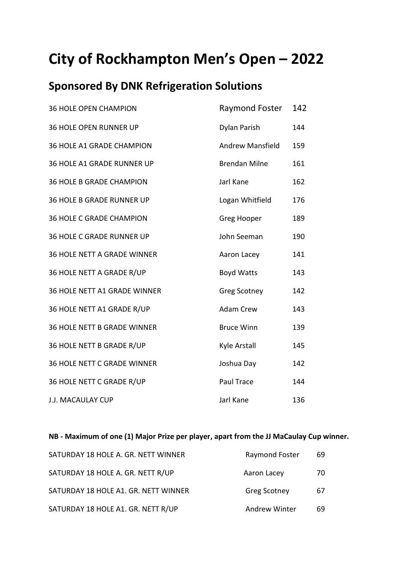## **City of Rockhampton Men's Open – 2022**

## **Sponsored By DNK Refrigeration Solutions**

| <b>36 HOLE OPEN CHAMPION</b>       | Raymond Foster          | 142 |
|------------------------------------|-------------------------|-----|
| <b>36 HOLE OPEN RUNNER UP</b>      | Dylan Parish            | 144 |
| 36 HOLE A1 GRADE CHAMPION          | <b>Andrew Mansfield</b> | 159 |
| 36 HOLE A1 GRADE RUNNER UP         | <b>Brendan Milne</b>    | 161 |
| <b>36 HOLE B GRADE CHAMPION</b>    | Jarl Kane               | 162 |
| <b>36 HOLE B GRADE RUNNER UP</b>   | Logan Whitfield         | 176 |
| <b>36 HOLE C GRADE CHAMPION</b>    | Greg Hooper             | 189 |
| <b>36 HOLE C GRADE RUNNER UP</b>   | John Seeman             | 190 |
| 36 HOLE NETT A GRADE WINNER        | Aaron Lacey             | 141 |
| 36 HOLE NETT A GRADE R/UP          | <b>Boyd Watts</b>       | 143 |
| 36 HOLE NETT A1 GRADE WINNER       | <b>Greg Scotney</b>     | 142 |
| 36 HOLE NETT A1 GRADE R/UP         | <b>Adam Crew</b>        | 143 |
| <b>36 HOLE NETT B GRADE WINNER</b> | <b>Bruce Winn</b>       | 139 |
| 36 HOLE NETT B GRADE R/UP          | Kyle Arstall            | 145 |
| 36 HOLE NETT C GRADE WINNER        | Joshua Day              | 142 |
| 36 HOLE NETT C GRADE R/UP          | Paul Trace              | 144 |
| J.J. MACAULAY CUP                  | Jarl Kane               | 136 |

**NB - Maximum of one (1) Major Prize per player, apart from the JJ MaCaulay Cup winner.**

| SATURDAY 18 HOLE A. GR. NETT WINNER  | Raymond Foster       | 69 |
|--------------------------------------|----------------------|----|
| SATURDAY 18 HOLE A. GR. NETT R/UP    | Aaron Lacey          | 70 |
| SATURDAY 18 HOLE A1. GR. NETT WINNER | <b>Greg Scotney</b>  | 67 |
| SATURDAY 18 HOLE A1. GR. NETT R/UP   | <b>Andrew Winter</b> | 69 |